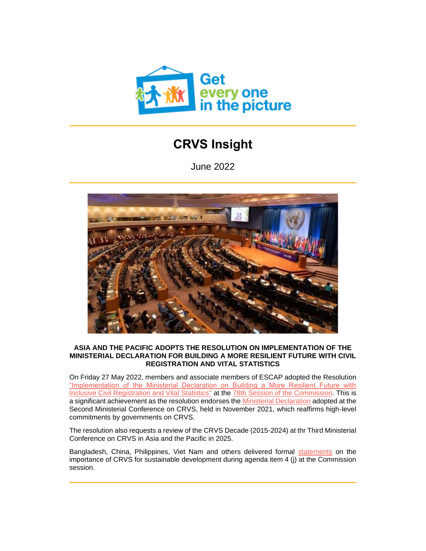

# **CRVS Insight**

June 2022



## **ASIA AND THE PACIFIC ADOPTS THE RESOLUTION ON IMPLEMENTATION OF THE MINISTERIAL DECLARATION FOR BUILDING A MORE RESILIENT FUTURE WITH CIVIL REGISTRATION AND VITAL STATISTICS**

On Friday 27 May 2022, members and associate members of ESCAP adopted the Resolution ["Implementation of the Ministerial Declaration on Building a More Resilient Future with](http://92ls.mjt.lu/lnk/AUgAAFiyG1YAActsgtgAAAGMktAAAAAc02EAm3UOAAwLzQBimbQV67osUfWZT-2AqRHLALUQQAAMGNw/1/LzQUfel0yrSgI29d0yAtCQ/aHR0cHM6Ly93d3cudW5lc2NhcC5vcmcvc2l0ZXMvZGVmYXVsdC9kOGZpbGVzL2V2ZW50LWRvY3VtZW50cy9FU0NBUF9NQ0NSVlNfMjAyMV84X0FkZC4xX21pbmlzdGVyaWFsX2RlY2xhcmF0aW9uX0VuZ2xpc2gucGRm)  [Inclusive Civil Registration and Vital Statistics"](http://92ls.mjt.lu/lnk/AUgAAFiyG1YAActsgtgAAAGMktAAAAAc02EAm3UOAAwLzQBimbQV67osUfWZT-2AqRHLALUQQAAMGNw/1/LzQUfel0yrSgI29d0yAtCQ/aHR0cHM6Ly93d3cudW5lc2NhcC5vcmcvc2l0ZXMvZGVmYXVsdC9kOGZpbGVzL2V2ZW50LWRvY3VtZW50cy9FU0NBUF9NQ0NSVlNfMjAyMV84X0FkZC4xX21pbmlzdGVyaWFsX2RlY2xhcmF0aW9uX0VuZ2xpc2gucGRm) at the [78th Session of the Commission.](http://92ls.mjt.lu/lnk/AUgAAFiyG1YAActsgtgAAAGMktAAAAAc02EAm3UOAAwLzQBimbQV67osUfWZT-2AqRHLALUQQAAMGNw/2/lSTxRMmzjhz_iCuPOZfqMQ/aHR0cHM6Ly91bmVzY2FwLm9yZy9ldmVudHMvY29tbWlzc2lvbjc4) This is a significant achievement as the resolution endorses the [Ministerial Declaration](http://92ls.mjt.lu/lnk/AUgAAFiyG1YAActsgtgAAAGMktAAAAAc02EAm3UOAAwLzQBimbQV67osUfWZT-2AqRHLALUQQAAMGNw/3/2jcIbzPCB_e3ic2BZ308dg/aHR0cHM6Ly93d3cudW5lc2NhcC5vcmcvc2l0ZXMvZGVmYXVsdC9kOGZpbGVzL2V2ZW50LWRvY3VtZW50cy9FU0NBUF9NQ0NSVlNfMjAyMV84X0FkZC4xX21pbmlzdGVyaWFsX2RlY2xhcmF0aW9uX0VuZ2xpc2gucGRm) adopted at the Second Ministerial Conference on CRVS, held in November 2021, which reaffirms high-level commitments by governments on CRVS.

The resolution also requests a review of the CRVS Decade (2015-2024) at thr Third Ministerial Conference on CRVS in Asia and the Pacific in 2025.

Bangladesh, China, Philippines, Viet Nam and others delivered formal [statements](http://92ls.mjt.lu/lnk/AUgAAFiyG1YAActsgtgAAAGMktAAAAAc02EAm3UOAAwLzQBimbQV67osUfWZT-2AqRHLALUQQAAMGNw/4/ixIqxrPxUSKk5_cJkdKfZQ/aHR0cHM6Ly91bmVzY2FwLm9yZy9ldmVudHMvY29tbWlzc2lvbjc4I1N0YXRlbWVudHM#Statements) on the importance of CRVS for sustainable development during agenda item 4 (j) at the Commission session.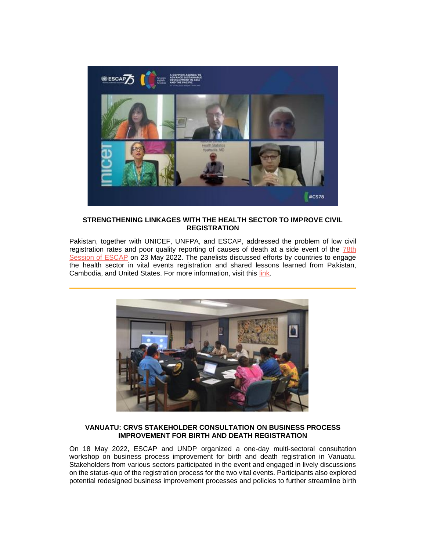

# **STRENGTHENING LINKAGES WITH THE HEALTH SECTOR TO IMPROVE CIVIL REGISTRATION**

Pakistan, together with UNICEF, UNFPA, and ESCAP, addressed the problem of low civil registration rates and poor quality reporting of causes of death at a side event of the 78th [Session of ESCAP](http://92ls.mjt.lu/lnk/AUgAAFiyG1YAActsgtgAAAGMktAAAAAc02EAm3UOAAwLzQBimbQV67osUfWZT-2AqRHLALUQQAAMGNw/5/A6JFNU6ZJUirXdb3L8WA-g/aHR0cHM6Ly93d3cudW5lc2NhcC5vcmcvZXZlbnRzL2NvbW1pc3Npb243OA) on 23 May 2022. The panelists discussed efforts by countries to engage the health sector in vital events registration and shared lessons learned from Pakistan, Cambodia, and United States. For more information, visit this [link.](http://92ls.mjt.lu/lnk/AUgAAFiyG1YAActsgtgAAAGMktAAAAAc02EAm3UOAAwLzQBimbQV67osUfWZT-2AqRHLALUQQAAMGNw/6/Y_3KQoi5erK2H-ceG_sS_A/aHR0cHM6Ly9nZXRpbnRoZXBpY3R1cmUub3JnL2V2ZW50L3NpZGUtZXZlbnQtYnVpbGRpbmctbW9yZS1yZXNpbGllbnQtZnV0dXJlLWluY2x1c2l2ZS1jaXZpbC1yZWdpc3RyYXRpb24tYW5kLXZpdGFsLXN0YXRpc3RpY3M)



## **VANUATU: CRVS STAKEHOLDER CONSULTATION ON BUSINESS PROCESS IMPROVEMENT FOR BIRTH AND DEATH REGISTRATION**

On 18 May 2022, ESCAP and UNDP organized a one-day multi-sectoral consultation workshop on business process improvement for birth and death registration in Vanuatu. Stakeholders from various sectors participated in the event and engaged in lively discussions on the status-quo of the registration process for the two vital events. Participants also explored potential redesigned business improvement processes and policies to further streamline birth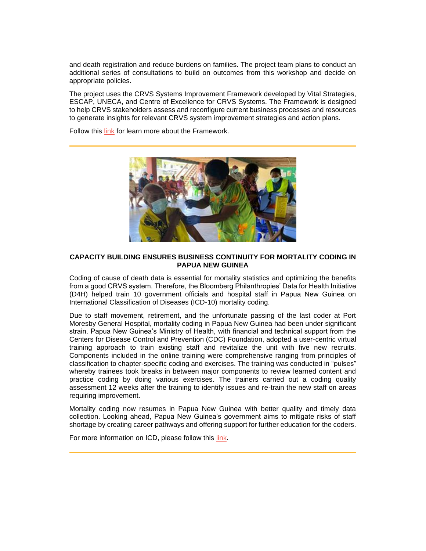and death registration and reduce burdens on families. The project team plans to conduct an additional series of consultations to build on outcomes from this workshop and decide on appropriate policies.

The project uses the CRVS Systems Improvement Framework developed by Vital Strategies, ESCAP, UNECA, and Centre of Excellence for CRVS Systems. The Framework is designed to help CRVS stakeholders assess and reconfigure current business processes and resources to generate insights for relevant CRVS system improvement strategies and action plans.

Follow this [link](http://92ls.mjt.lu/lnk/AUgAAFiyG1YAActsgtgAAAGMktAAAAAc02EAm3UOAAwLzQBimbQV67osUfWZT-2AqRHLALUQQAAMGNw/7/Eq4yEhzRc7QYIt0OeJtsKA/aHR0cHM6Ly9nZXRpbnRoZXBpY3R1cmUub3JnL25ld3MvY3J2cy1zeXN0ZW1zLWltcHJvdmVtZW50LWZyYW1ld29yay1wdWJsaXNoZWQ) for learn more about the Framework.



# **CAPACITY BUILDING ENSURES BUSINESS CONTINUITY FOR MORTALITY CODING IN PAPUA NEW GUINEA**

Coding of cause of death data is essential for mortality statistics and optimizing the benefits from a good CRVS system. Therefore, the Bloomberg Philanthropies' Data for Health Initiative (D4H) helped train 10 government officials and hospital staff in Papua New Guinea on International Classification of Diseases (ICD-10) mortality coding.

Due to staff movement, retirement, and the unfortunate passing of the last coder at Port Moresby General Hospital, mortality coding in Papua New Guinea had been under significant strain. Papua New Guinea's Ministry of Health, with financial and technical support from the Centers for Disease Control and Prevention (CDC) Foundation, adopted a user-centric virtual training approach to train existing staff and revitalize the unit with five new recruits. Components included in the online training were comprehensive ranging from principles of classification to chapter-specific coding and exercises. The training was conducted in "pulses" whereby trainees took breaks in between major components to review learned content and practice coding by doing various exercises. The trainers carried out a coding quality assessment 12 weeks after the training to identify issues and re-train the new staff on areas requiring improvement.

Mortality coding now resumes in Papua New Guinea with better quality and timely data collection. Looking ahead, Papua New Guinea's government aims to mitigate risks of staff shortage by creating career pathways and offering support for further education for the coders.

For more information on ICD, please follow this [link.](http://92ls.mjt.lu/lnk/AUgAAFiyG1YAActsgtgAAAGMktAAAAAc02EAm3UOAAwLzQBimbQV67osUfWZT-2AqRHLALUQQAAMGNw/8/Pqrc-4Fva36UrPbW88bxgA/aHR0cHM6Ly9pY2Qud2hvLmludC9lbg)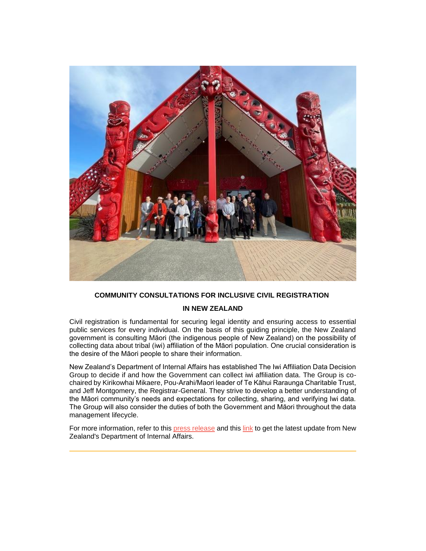

# **COMMUNITY CONSULTATIONS FOR INCLUSIVE CIVIL REGISTRATION**

#### **IN NEW ZEALAND**

Civil registration is fundamental for securing legal identity and ensuring access to essential public services for every individual. On the basis of this guiding principle, the New Zealand government is consulting Māori (the indigenous people of New Zealand) on the possibility of collecting data about tribal (iwi) affiliation of the Māori population. One crucial consideration is the desire of the Māori people to share their information.

New Zealand's Department of Internal Affairs has established The Iwi Affiliation Data Decision Group to decide if and how the Government can collect iwi affiliation data. The Group is cochaired by Kirikowhai Mikaere, Pou-Arahi/Maori leader of Te Kāhui Raraunga Charitable Trust, and Jeff Montgomery, the Registrar-General. They strive to develop a better understanding of the Māori community's needs and expectations for collecting, sharing, and verifying Iwi data. The Group will also consider the duties of both the Government and Māori throughout the data management lifecycle.

For more information, refer to this [press release](http://92ls.mjt.lu/lnk/AUgAAFiyG1YAActsgtgAAAGMktAAAAAc02EAm3UOAAwLzQBimbQV67osUfWZT-2AqRHLALUQQAAMGNw/9/3fYlFfmrGxjf849jmBswEQ/aHR0cHM6Ly93d3cuZGlhLmdvdnQubnovcHJlc3MubnNmL2Q3N2RhOWI1MjNmMTI5MzFjYzI1NmFjNTAwMGQxOWI2L2JjNTQ0ZDI2MjQyYTA2NmVjYzI1ODgzZjAwNzViZTQ2IU9wZW5Eb2N1bWVudA) and this [link](http://92ls.mjt.lu/lnk/AUgAAFiyG1YAActsgtgAAAGMktAAAAAc02EAm3UOAAwLzQBimbQV67osUfWZT-2AqRHLALUQQAAMGNw/10/xiU9ZwYIaQfB8YBepRYAIQ/aHR0cHM6Ly93d3cuZGlhLmdvdnQubnov) to get the latest update from New Zealand's Department of Internal Affairs.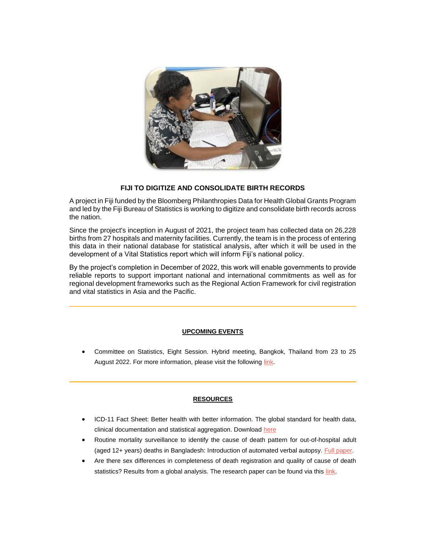

# **FIJI TO DIGITIZE AND CONSOLIDATE BIRTH RECORDS**

A project in Fiji funded by the Bloomberg Philanthropies Data for Health Global Grants Program and led by the Fiji Bureau of Statistics is working to digitize and consolidate birth records across the nation.

Since the project's inception in August of 2021, the project team has collected data on 26,228 births from 27 hospitals and maternity facilities. Currently, the team is in the process of entering this data in their national database for statistical analysis, after which it will be used in the development of a Vital Statistics report which will inform Fiji's national policy.

By the project's completion in December of 2022, this work will enable governments to provide reliable reports to support important national and international commitments as well as for regional development frameworks such as the Regional Action Framework for civil registration and vital statistics in Asia and the Pacific.

## **UPCOMING EVENTS**

• Committee on Statistics, Eight Session. Hybrid meeting, Bangkok, Thailand from 23 to 25 August 2022. For more information, please visit the following [link.](http://92ls.mjt.lu/lnk/AUgAAFiyG1YAActsgtgAAAGMktAAAAAc02EAm3UOAAwLzQBimbQV67osUfWZT-2AqRHLALUQQAAMGNw/11/rdsuT5H3arVsXQZYJL49mw/aHR0cHM6Ly93d3cudW5lc2NhcC5vcmcvZXZlbnRzLzIwMjIvY29tbWl0dGVlLXN0YXRpc3RpY3MtZWlnaHRoLXNlc3Npb24)

## **RESOURCES**

- ICD-11 Fact Sheet: Better health with better information. The global standard for health data, clinical documentation and statistical aggregation. Download [here](http://92ls.mjt.lu/lnk/AUgAAFiyG1YAActsgtgAAAGMktAAAAAc02EAm3UOAAwLzQBimbQV67osUfWZT-2AqRHLALUQQAAMGNw/12/cYK2Z8vicWVyAVVlL1LX_w/aHR0cHM6Ly93d3cud2hvLmludC9wdWJsaWNhdGlvbnMvbS9pdGVtL2ljZC0xMS1mYWN0LXNoZWV0)
- Routine mortality surveillance to identify the cause of death pattern for out-of-hospital adult (aged 12+ years) deaths in Bangladesh: Introduction of automated verbal autopsy. [Full paper.](http://92ls.mjt.lu/lnk/AUgAAFiyG1YAActsgtgAAAGMktAAAAAc02EAm3UOAAwLzQBimbQV67osUfWZT-2AqRHLALUQQAAMGNw/13/3cQagFz5Yk-Z9QWjDNW3RQ/aHR0cHM6Ly9ibWNwdWJsaWNoZWFsdGguYmlvbWVkY2VudHJhbC5jb20vYXJ0aWNsZXMvMTAuMTE4Ni9zMTI4ODktMDIxLTEwNDY4LTc)
- Are there sex differences in completeness of death registration and quality of cause of death statistics? Results from a global analysis. The research paper can be found via this [link.](http://92ls.mjt.lu/lnk/AUgAAFiyG1YAActsgtgAAAGMktAAAAAc02EAm3UOAAwLzQBimbQV67osUfWZT-2AqRHLALUQQAAMGNw/14/_EF0-wE7_IyW0mvC51wDSA/aHR0cHM6Ly9naC5ibWouY29tL2NvbnRlbnQvNi8xMC9lMDA2NjYw)